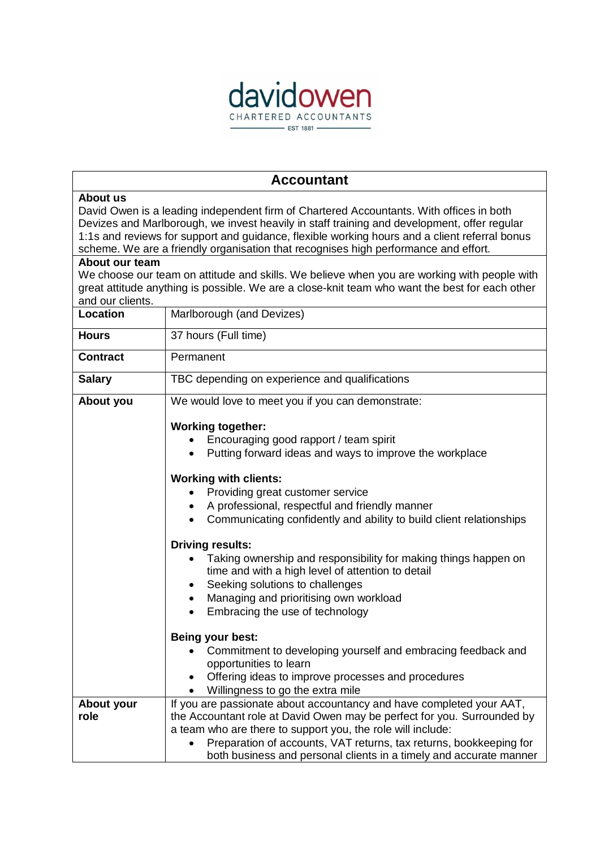

 $\overline{\phantom{0}}$ 

 $\overline{1}$ 

| <b>Accountant</b>                                                                                                                                                                                                                                                                                                                                                                                            |                                                                                                                                                                                                                                                                                                                                                                                                                                                                                                                                                                                                                 |
|--------------------------------------------------------------------------------------------------------------------------------------------------------------------------------------------------------------------------------------------------------------------------------------------------------------------------------------------------------------------------------------------------------------|-----------------------------------------------------------------------------------------------------------------------------------------------------------------------------------------------------------------------------------------------------------------------------------------------------------------------------------------------------------------------------------------------------------------------------------------------------------------------------------------------------------------------------------------------------------------------------------------------------------------|
| About us<br>David Owen is a leading independent firm of Chartered Accountants. With offices in both<br>Devizes and Marlborough, we invest heavily in staff training and development, offer regular<br>1:1s and reviews for support and guidance, flexible working hours and a client referral bonus<br>scheme. We are a friendly organisation that recognises high performance and effort.<br>About our team |                                                                                                                                                                                                                                                                                                                                                                                                                                                                                                                                                                                                                 |
| We choose our team on attitude and skills. We believe when you are working with people with<br>great attitude anything is possible. We are a close-knit team who want the best for each other<br>and our clients.                                                                                                                                                                                            |                                                                                                                                                                                                                                                                                                                                                                                                                                                                                                                                                                                                                 |
| <b>Location</b>                                                                                                                                                                                                                                                                                                                                                                                              | Marlborough (and Devizes)                                                                                                                                                                                                                                                                                                                                                                                                                                                                                                                                                                                       |
| <b>Hours</b>                                                                                                                                                                                                                                                                                                                                                                                                 | 37 hours (Full time)                                                                                                                                                                                                                                                                                                                                                                                                                                                                                                                                                                                            |
| <b>Contract</b>                                                                                                                                                                                                                                                                                                                                                                                              | Permanent                                                                                                                                                                                                                                                                                                                                                                                                                                                                                                                                                                                                       |
| <b>Salary</b>                                                                                                                                                                                                                                                                                                                                                                                                | TBC depending on experience and qualifications                                                                                                                                                                                                                                                                                                                                                                                                                                                                                                                                                                  |
| About you                                                                                                                                                                                                                                                                                                                                                                                                    | We would love to meet you if you can demonstrate:                                                                                                                                                                                                                                                                                                                                                                                                                                                                                                                                                               |
|                                                                                                                                                                                                                                                                                                                                                                                                              | <b>Working together:</b><br>Encouraging good rapport / team spirit<br>Putting forward ideas and ways to improve the workplace<br><b>Working with clients:</b><br>Providing great customer service<br>A professional, respectful and friendly manner<br>Communicating confidently and ability to build client relationships<br><b>Driving results:</b><br>Taking ownership and responsibility for making things happen on<br>time and with a high level of attention to detail<br>Seeking solutions to challenges<br>Managing and prioritising own workload<br>٠<br>Embracing the use of technology<br>$\bullet$ |
|                                                                                                                                                                                                                                                                                                                                                                                                              | <b>Being your best:</b><br>Commitment to developing yourself and embracing feedback and                                                                                                                                                                                                                                                                                                                                                                                                                                                                                                                         |
|                                                                                                                                                                                                                                                                                                                                                                                                              | opportunities to learn                                                                                                                                                                                                                                                                                                                                                                                                                                                                                                                                                                                          |
|                                                                                                                                                                                                                                                                                                                                                                                                              | Offering ideas to improve processes and procedures<br>$\bullet$<br>Willingness to go the extra mile                                                                                                                                                                                                                                                                                                                                                                                                                                                                                                             |
| About your<br>role                                                                                                                                                                                                                                                                                                                                                                                           | If you are passionate about accountancy and have completed your AAT,<br>the Accountant role at David Owen may be perfect for you. Surrounded by<br>a team who are there to support you, the role will include:<br>Preparation of accounts, VAT returns, tax returns, bookkeeping for<br>both business and personal clients in a timely and accurate manner                                                                                                                                                                                                                                                      |